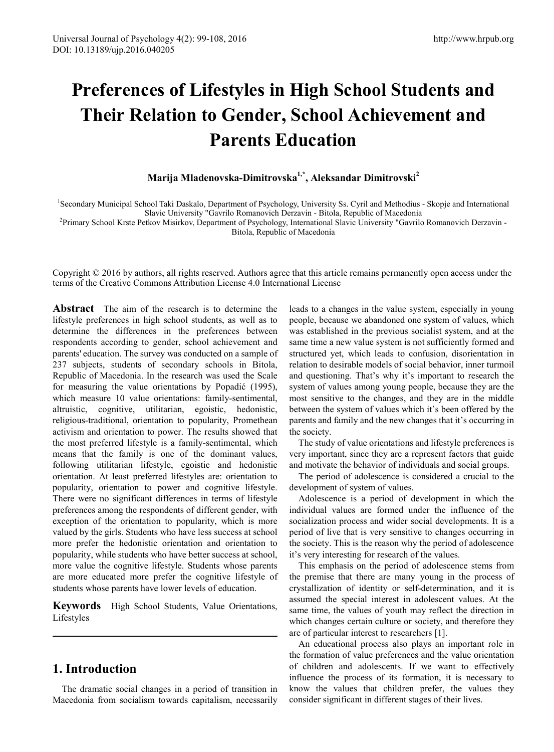# **Preferences of Lifestyles in High School Students and Their Relation to Gender, School Achievement and Parents Education**

## **Marija Mladenovska-Dimitrovska1,\*, Aleksandar Dimitrovski2**

<sup>1</sup>Secondary Municipal School Taki Daskalo, Department of Psychology, University Ss. Cyril and Methodius - Skopje and International

Slavic University "Gavrilo Romanovich Derzavin - Bitola, Republic of Macedonia<br>- Primary School Krste Petkov Misirkov, Department of Psychology, International Slavic University "Gavrilo Romanovich Derzavin -

Bitola, Republic of Macedonia

Copyright © 2016 by authors, all rights reserved. Authors agree that this article remains permanently open access under the terms of the Creative Commons Attribution License 4.0 International License

**Abstract** The aim of the research is to determine the lifestyle preferences in high school students, as well as to determine the differences in the preferences between respondents according to gender, school achievement and parents' education. The survey was conducted on a sample of 237 subjects, students of secondary schools in Bitola, Republic of Macedonia. In the research was used the Scale for measuring the value orientations by Popadić (1995), which measure 10 value orientations: family-sentimental, altruistic, cognitive, utilitarian, egoistic, hedonistic, religious-traditional, orientation to popularity, Promethean activism and orientation to power. The results showed that the most preferred lifestyle is a family-sentimental, which means that the family is one of the dominant values, following utilitarian lifestyle, egoistic and hedonistic orientation. At least preferred lifestyles are: orientation to popularity, orientation to power and cognitive lifestyle. There were no significant differences in terms of lifestyle preferences among the respondents of different gender, with exception of the orientation to popularity, which is more valued by the girls. Students who have less success at school more prefer the hedonistic orientation and orientation to popularity, while students who have better success at school, more value the cognitive lifestyle. Students whose parents are more educated more prefer the cognitive lifestyle of students whose parents have lower levels of education.

**Keywords** High School Students, Value Orientations, Lifestyles

# **1. Introduction**

The dramatic social changes in a period of transition in Macedonia from socialism towards capitalism, necessarily

leads to a changes in the value system, especially in young people, because we abandoned one system of values, which was established in the previous socialist system, and at the same time a new value system is not sufficiently formed and structured yet, which leads to confusion, disorientation in relation to desirable models of social behavior, inner turmoil and questioning. That's why it's important to research the system of values among young people, because they are the most sensitive to the changes, and they are in the middle between the system of values which it's been offered by the parents and family and the new changes that it's occurring in the society.

The study of value orientations and lifestyle preferences is very important, since they are a represent factors that guide and motivate the behavior of individuals and social groups.

The period of adolescence is considered a crucial to the development of system of values.

Adolescence is a period of development in which the individual values are formed under the influence of the socialization process and wider social developments. It is a period of live that is very sensitive to changes occurring in the society. This is the reason why the period of adolescence it's very interesting for research of the values.

This emphasis on the period of adolescence stems from the premise that there are many young in the process of crystallization of identity or self-determination, and it is assumed the special interest in adolescent values. At the same time, the values of youth may reflect the direction in which changes certain culture or society, and therefore they are of particular interest to researchers [1].

An educational process also plays an important role in the formation of value preferences and the value orientation of children and adolescents. If we want to effectively influence the process of its formation, it is necessary to know the values that children prefer, the values they consider significant in different stages of their lives.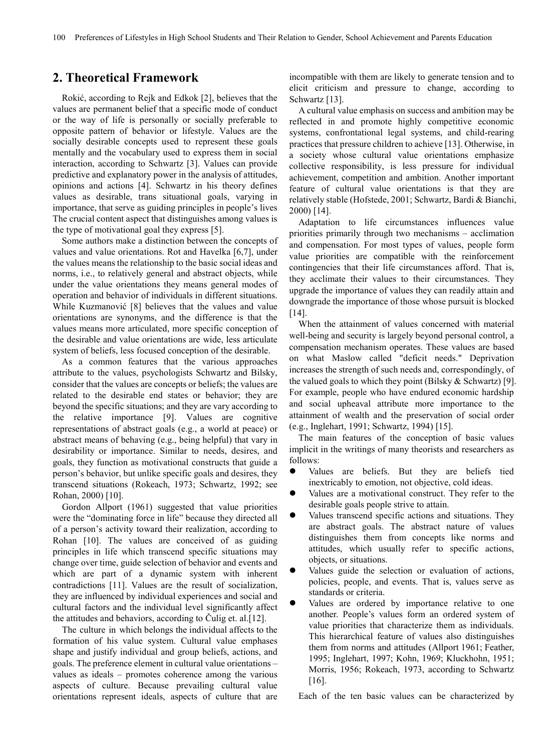## **2. Theoretical Framework**

Rokić, according to Rejk and Edkok [2], believes that the values are permanent belief that a specific mode of conduct or the way of life is personally or socially preferable to opposite pattern of behavior or lifestyle. Values are the socially desirable concepts used to represent these goals mentally and the vocabulary used to express them in social interaction, according to Schwartz [3]. Values can provide predictive and explanatory power in the analysis of attitudes, opinions and actions [4]. Schwartz in his theory defines values as desirable, trans situational goals, varying in importance, that serve as guiding principles in people's lives The crucial content aspect that distinguishes among values is the type of motivational goal they express [5].

Some authors make a distinction between the concepts of values and value orientations. Rot and Havelka [6,7], under the values means the relationship to the basic social ideas and norms, i.e., to relatively general and abstract objects, while under the value orientations they means general modes of operation and behavior of individuals in different situations. While Kuzmanović [8] believes that the values and value orientations are synonyms, and the difference is that the values means more articulated, more specific conception of the desirable and value orientations are wide, less articulate system of beliefs, less focused conception of the desirable.

As a common features that the various approaches attribute to the values, psychologists Schwartz and Bilsky, consider that the values are concepts or beliefs; the values are related to the desirable end states or behavior; they are beyond the specific situations; and they are vary according to the relative importance [9]. Values are cognitive representations of abstract goals (e.g., a world at peace) or abstract means of behaving (e.g., being helpful) that vary in desirability or importance. Similar to needs, desires, and goals, they function as motivational constructs that guide a person's behavior, but unlike specific goals and desires, they transcend situations (Rokeach, 1973; Schwartz, 1992; see Rohan, 2000) [10].

Gordon Allport (1961) suggested that value priorities were the "dominating force in life" because they directed all of a person's activity toward their realization, according to Rohan [10]. The values are conceived of as guiding principles in life which transcend specific situations may change over time, guide selection of behavior and events and which are part of a dynamic system with inherent contradictions [11]. Values are the result of socialization, they are influenced by individual experiences and social and cultural factors and the individual level significantly affect the attitudes and behaviors, according to Čulig et. al.[12].

The culture in which belongs the individual affects to the formation of his value system. Cultural value emphases shape and justify individual and group beliefs, actions, and goals. The preference element in cultural value orientations – values as ideals – promotes coherence among the various aspects of culture. Because prevailing cultural value orientations represent ideals, aspects of culture that are incompatible with them are likely to generate tension and to elicit criticism and pressure to change, according to Schwartz [13].

A cultural value emphasis on success and ambition may be reflected in and promote highly competitive economic systems, confrontational legal systems, and child-rearing practices that pressure children to achieve [13]. Otherwise, in a society whose cultural value orientations emphasize collective responsibility, is less pressure for individual achievement, competition and ambition. Another important feature of cultural value orientations is that they are relatively stable (Hofstede, 2001; Schwartz, Bardi & Bianchi, 2000) [14].

Adaptation to life circumstances influences value priorities primarily through two mechanisms – acclimation and compensation. For most types of values, people form value priorities are compatible with the reinforcement contingencies that their life circumstances afford. That is, they acclimate their values to their circumstances. They upgrade the importance of values they can readily attain and downgrade the importance of those whose pursuit is blocked  $[14]$ .

When the attainment of values concerned with material well-being and security is largely beyond personal control, a compensation mechanism operates. These values are based on what Maslow called "deficit needs." Deprivation increases the strength of such needs and, correspondingly, of the valued goals to which they point (Bilsky  $&$  Schwartz) [9]. For example, people who have endured economic hardship and social upheaval attribute more importance to the attainment of wealth and the preservation of social order (e.g., Inglehart, 1991; Schwartz, 1994) [15].

The main features of the conception of basic values implicit in the writings of many theorists and researchers as follows:

- Values are beliefs. But they are beliefs tied inextricably to emotion, not objective, cold ideas.
- Values are a motivational construct. They refer to the desirable goals people strive to attain.
- Values transcend specific actions and situations. They are abstract goals. The abstract nature of values distinguishes them from concepts like norms and attitudes, which usually refer to specific actions, objects, or situations.
- Values guide the selection or evaluation of actions, policies, people, and events. That is, values serve as standards or criteria.
- Values are ordered by importance relative to one another. People's values form an ordered system of value priorities that characterize them as individuals. This hierarchical feature of values also distinguishes them from norms and attitudes (Allport 1961; Feather, 1995; Inglehart, 1997; Kohn, 1969; Kluckhohn, 1951; Morris, 1956; Rokeach, 1973, according to Schwartz [16].

Each of the ten basic values can be characterized by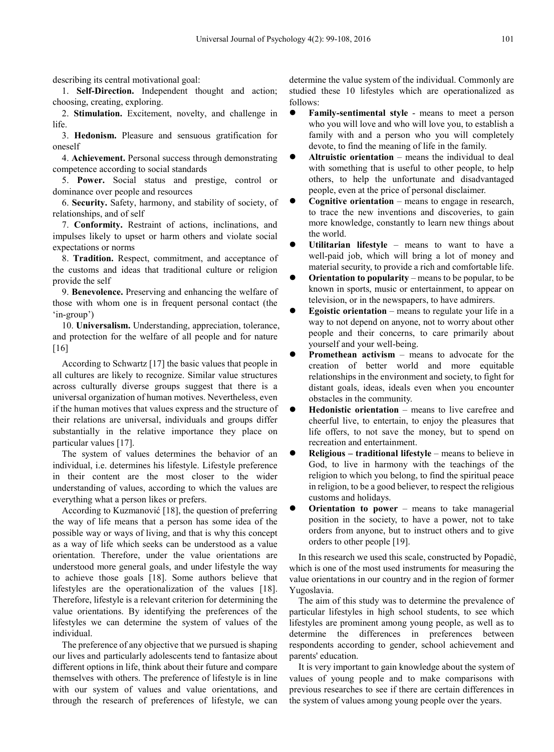describing its central motivational goal:

1. **Self-Direction.** Independent thought and action; choosing, creating, exploring.

2. **Stimulation.** Excitement, novelty, and challenge in life.

3. **Hedonism.** Pleasure and sensuous gratification for oneself

4. **Achievement.** Personal success through demonstrating competence according to social standards

5. **Power.** Social status and prestige, control or dominance over people and resources

6. **Security.** Safety, harmony, and stability of society, of relationships, and of self

7. **Conformity.** Restraint of actions, inclinations, and impulses likely to upset or harm others and violate social expectations or norms

8. **Tradition.** Respect, commitment, and acceptance of the customs and ideas that traditional culture or religion provide the self

9. **Benevolence.** Preserving and enhancing the welfare of those with whom one is in frequent personal contact (the 'in-group')

10. **Universalism.** Understanding, appreciation, tolerance, and protection for the welfare of all people and for nature [16]

According to Schwartz [17] the basic values that people in all cultures are likely to recognize. Similar value structures across culturally diverse groups suggest that there is a universal organization of human motives. Nevertheless, even if the human motives that values express and the structure of their relations are universal, individuals and groups differ substantially in the relative importance they place on particular values [17].

The system of values determines the behavior of an individual, i.e. determines his lifestyle. Lifestyle preference in their content are the most closer to the wider understanding of values, according to which the values are everything what a person likes or prefers.

According to Kuzmanović [18], the question of preferring the way of life means that a person has some idea of the possible way or ways of living, and that is why this concept as a way of life which seeks can be understood as a value orientation. Therefore, under the value orientations are understood more general goals, and under lifestyle the way to achieve those goals [18]. Some authors believe that lifestyles are the operationalization of the values [18]. Therefore, lifestyle is a relevant criterion for determining the value orientations. By identifying the preferences of the lifestyles we can determine the system of values of the individual.

The preference of any objective that we pursued is shaping our lives and particularly adolescents tend to fantasize about different options in life, think about their future and compare themselves with others. The preference of lifestyle is in line with our system of values and value orientations, and through the research of preferences of lifestyle, we can

determine the value system of the individual. Commonly are studied these 10 lifestyles which are operationalized as follows:

- **Family-sentimental style** means to meet a person who you will love and who will love you, to establish a family with and a person who you will completely devote, to find the meaning of life in the family.
- **Altruistic orientation** means the individual to deal with something that is useful to other people, to help others, to help the unfortunate and disadvantaged people, even at the price of personal disclaimer.
- **Cognitive orientation** means to engage in research, to trace the new inventions and discoveries, to gain more knowledge, constantly to learn new things about the world.
- **Utilitarian lifestyle** means to want to have a well-paid job, which will bring a lot of money and material security, to provide a rich and comfortable life.
- **Orientation to popularity** means to be popular, to be known in sports, music or entertainment, to appear on television, or in the newspapers, to have admirers.
- **Egoistic orientation** means to regulate your life in a way to not depend on anyone, not to worry about other people and their concerns, to care primarily about yourself and your well-being.
- **Promethean activism means to advocate for the** creation of better world and more equitable relationships in the environment and society, to fight for distant goals, ideas, ideals even when you encounter obstacles in the community.
- **Hedonistic orientation** means to live carefree and cheerful live, to entertain, to enjoy the pleasures that life offers, to not save the money, but to spend on recreation and entertainment.
- **Religious – traditional lifestyle** means to believe in God, to live in harmony with the teachings of the religion to which you belong, to find the spiritual peace in religion, to be a good believer, to respect the religious customs and holidays.
- **Orientation to power** means to take managerial position in the society, to have a power, not to take orders from anyone, but to instruct others and to give orders to other people [19].

In this research we used this scale, constructed by Popadiċ, which is one of the most used instruments for measuring the value orientations in our country and in the region of former Yugoslavia.

The aim of this study was to determine the prevalence of particular lifestyles in high school students, to see which lifestyles are prominent among young people, as well as to determine the differences in preferences between respondents according to gender, school achievement and parents' education.

It is very important to gain knowledge about the system of values of young people and to make comparisons with previous researches to see if there are certain differences in the system of values among young people over the years.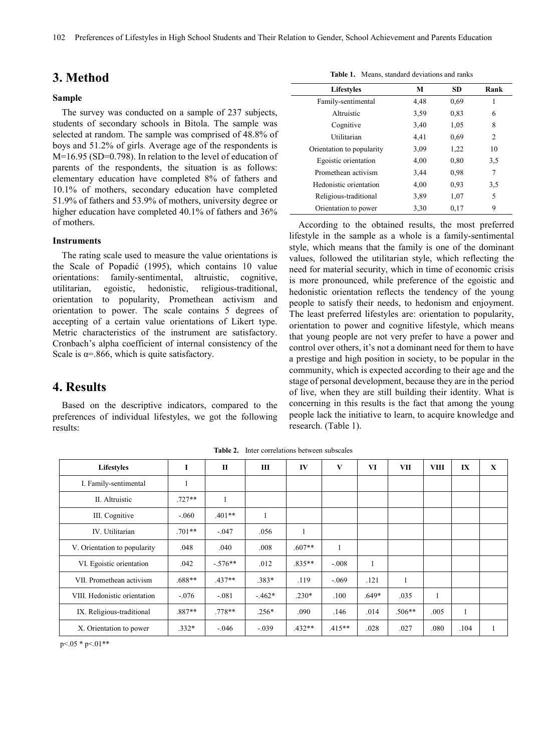# **3. Method**

#### **Sample**

The survey was conducted on a sample of 237 subjects, students of secondary schools in Bitola. The sample was selected at random. The sample was comprised of 48.8% of boys and 51.2% of girls. Average age of the respondents is M=16.95 (SD=0.798). In relation to the level of education of parents of the respondents, the situation is as follows: elementary education have completed 8% of fathers and 10.1% of mothers, secondary education have completed 51.9% of fathers and 53.9% of mothers, university degree or higher education have completed 40.1% of fathers and 36% of mothers.

#### **Instruments**

The rating scale used to measure the value orientations is the Scale of Popadić (1995), which contains 10 value orientations: family-sentimental, altruistic, cognitive, utilitarian, egoistic, hedonistic, religious-traditional, orientation to popularity, Promethean activism and orientation to power. The scale contains 5 degrees of accepting of a certain value orientations of Likert type. Metric characteristics of the instrument are satisfactory. Cronbach's alpha coefficient of internal consistency of the Scale is  $\alpha$ =.866, which is quite satisfactory.

## **4. Results**

Based on the descriptive indicators, compared to the preferences of individual lifestyles, we got the following results:

**Table 1.** Means, standard deviations and ranks

| <b>Lifestyles</b>         | М    | SD.  | Rank |
|---------------------------|------|------|------|
| Family-sentimental        | 4,48 | 0.69 | 1    |
| Altruistic                | 3.59 | 0.83 | 6    |
| Cognitive                 | 3,40 | 1,05 | 8    |
| Utilitarian               | 4,41 | 0.69 | 2    |
| Orientation to popularity | 3.09 | 1,22 | 10   |
| Egoistic orientation      | 4,00 | 0.80 | 3,5  |
| Promethean activism       | 3,44 | 0.98 | 7    |
| Hedonistic orientation    | 4,00 | 0.93 | 3,5  |
| Religious-traditional     | 3.89 | 1,07 | 5    |
| Orientation to power      | 3,30 | 0,17 | 9    |

According to the obtained results, the most preferred lifestyle in the sample as a whole is a family-sentimental style, which means that the family is one of the dominant values, followed the utilitarian style, which reflecting the need for material security, which in time of economic crisis is more pronounced, while preference of the egoistic and hedonistic orientation reflects the tendency of the young people to satisfy their needs, to hedonism and enjoyment. The least preferred lifestyles are: orientation to popularity, orientation to power and cognitive lifestyle, which means that young people are not very prefer to have a power and control over others, it's not a dominant need for them to have a prestige and high position in society, to be popular in the community, which is expected according to their age and the stage of personal development, because they are in the period of live, when they are still building their identity. What is concerning in this results is the fact that among the young people lack the initiative to learn, to acquire knowledge and research. (Table 1).

**Table 2.** Inter correlations between subscales

| Lifestyles                   | T        | П         | Ш       | IV       | V        | VI      | VII      | <b>VIII</b> | IX   | X |
|------------------------------|----------|-----------|---------|----------|----------|---------|----------|-------------|------|---|
| I. Family-sentimental        | ш        |           |         |          |          |         |          |             |      |   |
| II. Altruistic               | $.727**$ | 1         |         |          |          |         |          |             |      |   |
| III. Cognitive               | $-.060$  | $.401**$  | -1      |          |          |         |          |             |      |   |
| IV. Utilitarian              | $.701**$ | $-.047$   | .056    |          |          |         |          |             |      |   |
| V. Orientation to popularity | .048     | .040      | .008    | $.607**$ |          |         |          |             |      |   |
| VI. Egoistic orientation     | .042     | $-.576**$ | .012    | $.835**$ | $-.008$  | $\perp$ |          |             |      |   |
| VII. Promethean activism     | .688**   | $.437**$  | $.383*$ | .119     | $-.069$  | .121    | 1        |             |      |   |
| VIII. Hedonistic orientation | $-.076$  | $-.081$   | $-462*$ | $.230*$  | .100     | $.649*$ | .035     |             |      |   |
| IX. Religious-traditional    | $.887**$ | $.778**$  | $.256*$ | .090     | .146     | .014    | $.506**$ | .005        | 1    |   |
| X. Orientation to power      | $.332*$  | $-.046$   | $-.039$ | $.432**$ | $.415**$ | .028    | .027     | .080        | .104 |   |

 $p<0.05$  \*  $p<0.1$ \*\*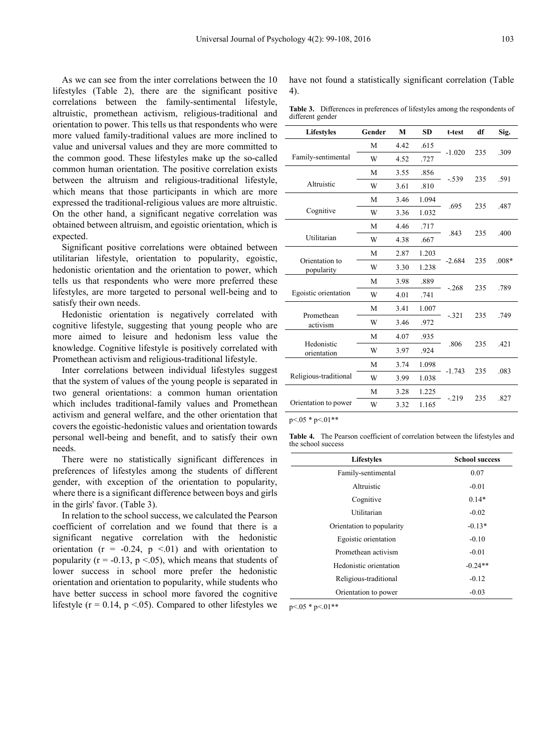As we can see from the inter correlations between the 10 lifestyles (Table 2), there are the significant positive correlations between the family-sentimental lifestyle, altruistic, promethean activism, religious-traditional and orientation to power. This tells us that respondents who were more valued family-traditional values are more inclined to value and universal values and they are more committed to the common good. These lifestyles make up the so-called common human orientation. The positive correlation exists between the altruism and religious-traditional lifestyle, which means that those participants in which are more expressed the traditional-religious values are more altruistic. On the other hand, a significant negative correlation was obtained between altruism, and egoistic orientation, which is expected.

Significant positive correlations were obtained between utilitarian lifestyle, orientation to popularity, egoistic, hedonistic orientation and the orientation to power, which tells us that respondents who were more preferred these lifestyles, are more targeted to personal well-being and to satisfy their own needs.

Hedonistic orientation is negatively correlated with cognitive lifestyle, suggesting that young people who are more aimed to leisure and hedonism less value the knowledge. Cognitive lifestyle is positively correlated with Promethean activism and religious-traditional lifestyle.

Inter correlations between individual lifestyles suggest that the system of values of the young people is separated in two general orientations: a common human orientation which includes traditional-family values and Promethean activism and general welfare, and the other orientation that covers the egoistic-hedonistic values and orientation towards personal well-being and benefit, and to satisfy their own needs.

There were no statistically significant differences in preferences of lifestyles among the students of different gender, with exception of the orientation to popularity, where there is a significant difference between boys and girls in the girls' favor. (Table 3).

In relation to the school success, we calculated the Pearson coefficient of correlation and we found that there is a significant negative correlation with the hedonistic orientation ( $r = -0.24$ ,  $p \le 0.01$ ) and with orientation to popularity ( $r = -0.13$ ,  $p < 0.05$ ), which means that students of lower success in school more prefer the hedonistic orientation and orientation to popularity, while students who have better success in school more favored the cognitive lifestyle ( $r = 0.14$ ,  $p \le 0.05$ ). Compared to other lifestyles we have not found a statistically significant correlation (Table 4).

**Table 3.** Differences in preferences of lifestyles among the respondents of different gender

| <b>Lifestyles</b>            | Gender | M    | <b>SD</b> | t-test   | df  | Sig.    |
|------------------------------|--------|------|-----------|----------|-----|---------|
|                              | M      | 4.42 | .615      | $-1.020$ | 235 | .309    |
| Family-sentimental           | W      | 4.52 | .727      |          |     |         |
|                              | M      | 3.55 | .856      | $-.539$  | 235 | .591    |
| Altruistic                   | W      | 3.61 | .810      |          |     |         |
|                              | M      | 3.46 | 1.094     | .695     | 235 | .487    |
| Cognitive                    | W      | 3.36 | 1.032     |          |     |         |
|                              | M      | 4.46 | .717      | .843     | 235 | .400    |
| Utilitarian                  | W      | 4.38 | .667      |          |     |         |
|                              | M      | 2.87 | 1.203     |          |     |         |
| Orientation to<br>popularity | W      | 3.30 | 1.238     | $-2.684$ | 235 | $.008*$ |
|                              | M      | 3.98 | .889      | $-.268$  | 235 | .789    |
| Egoistic orientation         | W      | 4.01 | .741      |          |     |         |
|                              | M      | 3.41 | 1.007     |          |     |         |
| Promethean<br>activism       | W      | 3.46 | .972      | $-.321$  | 235 | .749    |
|                              | M      | 4.07 | .935      |          |     |         |
| Hedonistic<br>orientation    | W      | 3.97 | .924      | .806     | 235 | .421    |
|                              | M      | 3.74 | 1.098     |          |     |         |
| Religious-traditional        | W      | 3.99 | 1.038     | $-1.743$ | 235 | .083    |
|                              | M      | 3.28 | 1.225     | $-219$   | 235 | .827    |
| Orientation to power         | W      | 3.32 | 1.165     |          |     |         |

p<.05 \* p<.01\*\*

 $\overline{\phantom{a}}$ 

**Table 4.** The Pearson coefficient of correlation between the lifestyles and the school success

| Lifestyles                | <b>School success</b> |
|---------------------------|-----------------------|
| Family-sentimental        | 0.07                  |
| Altruistic                | $-0.01$               |
| Cognitive                 | $0.14*$               |
| Utilitarian               | $-0.02$               |
| Orientation to popularity | $-0.13*$              |
| Egoistic orientation      | $-0.10$               |
| Promethean activism       | $-0.01$               |
| Hedonistic orientation    | $-0.24**$             |
| Religious-traditional     | $-0.12$               |
| Orientation to power      | $-0.03$               |

 $p<.05$  \*  $p<.01$ \*\*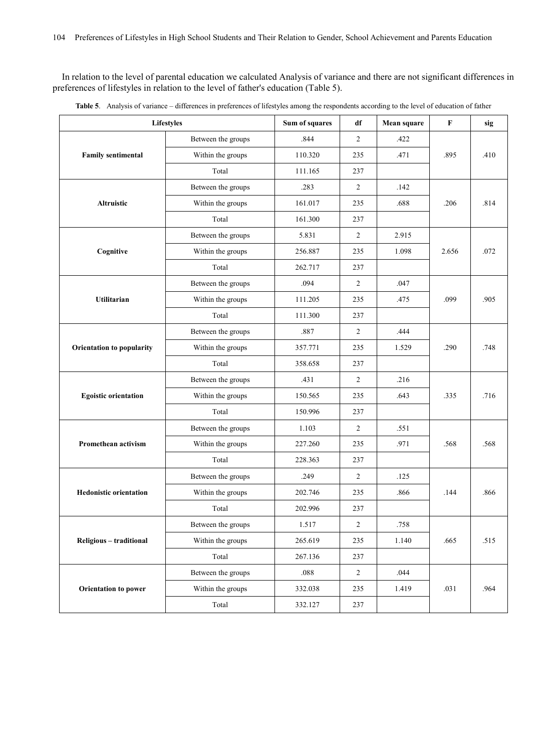In relation to the level of parental education we calculated Analysis of variance and there are not significant differences in preferences of lifestyles in relation to the level of father's education (Table 5).

| Lifestyles                    |                    | Sum of squares | df             | Mean square | F     | sig  |
|-------------------------------|--------------------|----------------|----------------|-------------|-------|------|
|                               | Between the groups | .844           | $\overline{c}$ | .422        |       |      |
| <b>Family sentimental</b>     | Within the groups  | 110.320        | 235            | .471        | .895  | .410 |
|                               | Total              | 111.165        | 237            |             |       |      |
|                               | Between the groups | .283           | 2              | .142        |       |      |
| Altruistic                    | Within the groups  | 161.017        | 235            | .688        | .206  | .814 |
|                               | Total              | 161.300        | 237            |             |       |      |
|                               | Between the groups | 5.831          | $\overline{2}$ | 2.915       |       |      |
| Cognitive                     | Within the groups  | 256.887        | 235            | 1.098       | 2.656 | .072 |
|                               | Total              | 262.717        | 237            |             |       |      |
|                               | Between the groups | .094           | 2              | .047        |       |      |
| <b>Utilitarian</b>            | Within the groups  | 111.205        | 235            | .475        | .099  | .905 |
|                               | Total              | 111.300        | 237            |             |       |      |
|                               | Between the groups | .887           | $\overline{2}$ | .444        |       | .748 |
| Orientation to popularity     | Within the groups  | 357.771        | 235            | 1.529       | .290  |      |
|                               | Total              | 358.658        | 237            |             |       |      |
|                               | Between the groups | .431           | $\overline{2}$ | .216        |       | .716 |
| <b>Egoistic orientation</b>   | Within the groups  | 150.565        | 235            | .643        | .335  |      |
|                               | Total              | 150.996        | 237            |             |       |      |
|                               | Between the groups | 1.103          | 2              | .551        |       | .568 |
| <b>Promethean activism</b>    | Within the groups  | 227.260        | 235            | .971        | .568  |      |
|                               | Total              | 228.363        | 237            |             |       |      |
|                               | Between the groups | .249           | 2              | .125        |       | .866 |
| <b>Hedonistic orientation</b> | Within the groups  | 202.746        | 235            | .866        | .144  |      |
|                               | Total              | 202.996        | 237            |             |       |      |
| Religious - traditional       | Between the groups | 1.517          | $\overline{c}$ | .758        |       |      |
|                               | Within the groups  | 265.619        | 235            | 1.140       | .665  | .515 |
|                               | Total              | 267.136        | 237            |             |       |      |
|                               | Between the groups | $.088\,$       | $\sqrt{2}$     | .044        |       |      |
| <b>Orientation to power</b>   | Within the groups  | 332.038        | 235            | 1.419       | .031  | .964 |
|                               | Total              |                | 237            |             |       |      |

|  | Table 5. Analysis of variance - differences in preferences of lifestyles among the respondents according to the level of education of father |  |  |  |  |  |  |  |  |  |
|--|----------------------------------------------------------------------------------------------------------------------------------------------|--|--|--|--|--|--|--|--|--|
|--|----------------------------------------------------------------------------------------------------------------------------------------------|--|--|--|--|--|--|--|--|--|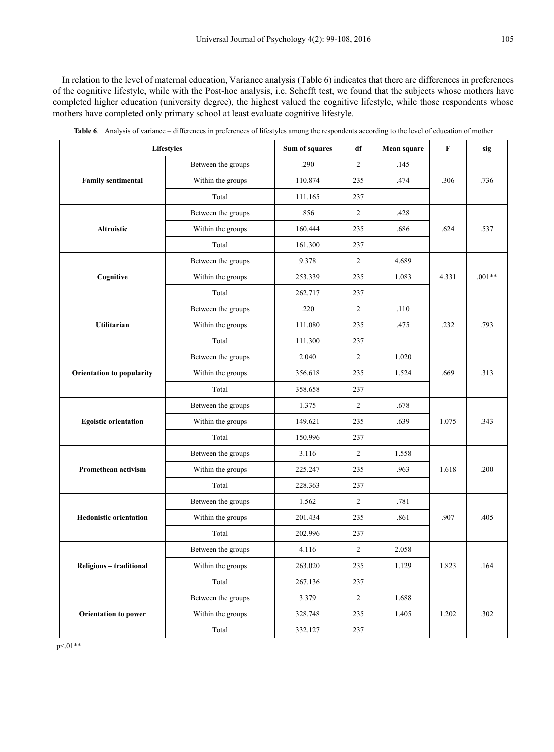In relation to the level of maternal education, Variance analysis (Table 6) indicates that there are differences in preferences of the cognitive lifestyle, while with the Post-hoc analysis, i.e. Schefft test, we found that the subjects whose mothers have completed higher education (university degree), the highest valued the cognitive lifestyle, while those respondents whose mothers have completed only primary school at least evaluate cognitive lifestyle.

| <b>Lifestyles</b>             |                    | Sum of squares | df         | Mean square | F     | sig      |
|-------------------------------|--------------------|----------------|------------|-------------|-------|----------|
|                               | Between the groups | .290           | 2          | .145        |       |          |
| <b>Family sentimental</b>     | Within the groups  | 110.874        | 235        | .474        | .306  | .736     |
|                               | Total              | 111.165        | 237        |             |       |          |
|                               | Between the groups | .856           | 2          | .428        |       | .537     |
| <b>Altruistic</b>             | Within the groups  | 160.444        | 235        | .686        | .624  |          |
|                               | Total              | 161.300        | 237        |             |       |          |
|                               | Between the groups | 9.378          | 2          | 4.689       |       |          |
| Cognitive                     | Within the groups  | 253.339        | 235        | 1.083       | 4.331 | $.001**$ |
|                               | Total              | 262.717        | 237        |             |       |          |
|                               | Between the groups | .220           | 2          | .110        |       |          |
| <b>Utilitarian</b>            | Within the groups  | 111.080        | 235        | .475        | .232  | .793     |
|                               | Total              | 111.300        | 237        |             |       |          |
|                               | Between the groups | 2.040          | 2          | 1.020       |       | .313     |
| Orientation to popularity     | Within the groups  | 356.618        | 235        | 1.524       | .669  |          |
|                               | Total              | 358.658        | 237        |             |       |          |
|                               | Between the groups | 2<br>1.375     |            | .678        |       |          |
| <b>Egoistic orientation</b>   | Within the groups  | 149.621        | 235        | .639        | 1.075 | .343     |
|                               | Total              | 150.996        | 237        |             |       |          |
|                               | Between the groups | 3.116          | 2          | 1.558       |       | .200     |
| Promethean activism           | Within the groups  | 225.247        | 235        | .963        | 1.618 |          |
|                               | Total              | 228.363        | 237        |             |       |          |
|                               | Between the groups | 1.562          | 2          | .781        |       | .405     |
| <b>Hedonistic orientation</b> | Within the groups  | 201.434        | 235        | .861        | .907  |          |
|                               | Total              | 202.996        | 237        |             |       |          |
| Religious - traditional       | Between the groups | 4.116          | 2          | 2.058       |       |          |
|                               | Within the groups  | 263.020        | 235        | 1.129       | 1.823 | $.164$   |
|                               | Total              | 267.136        | 237        |             |       |          |
|                               | Between the groups | 3.379          | $\sqrt{2}$ | 1.688       |       |          |
| Orientation to power          | Within the groups  | 328.748        | 235        | 1.405       | 1.202 | .302     |
|                               | Total              | 332.127        | 237        |             |       |          |

**Table 6**. Analysis of variance – differences in preferences of lifestyles among the respondents according to the level of education of mother

p<.01\*\*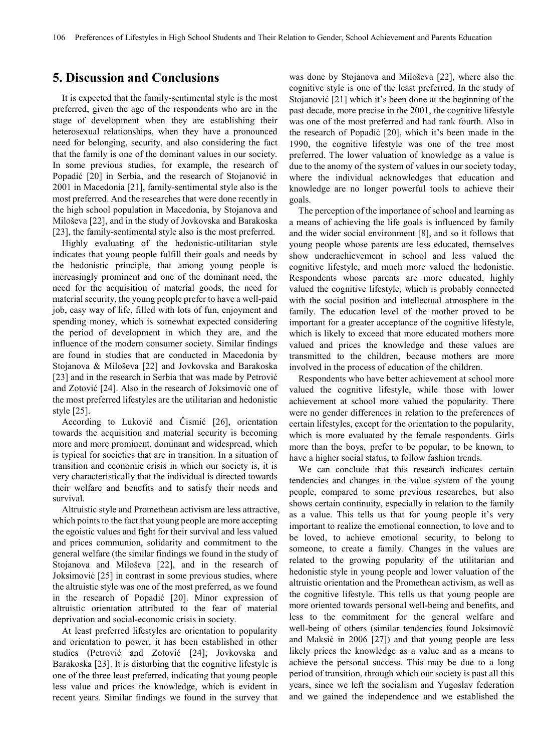## **5. Discussion and Conclusions**

It is expected that the family-sentimental style is the most preferred, given the age of the respondents who are in the stage of development when they are establishing their heterosexual relationships, when they have a pronounced need for belonging, security, and also considering the fact that the family is one of the dominant values in our society. In some previous studies, for example, the research of Popadić [20] in Serbia, and the research of Stojanović in 2001 in Macedonia [21], family-sentimental style also is the most preferred. And the researches that were done recently in the high school population in Macedonia, by Stojanova and Miloševa [22], and in the study of Jovkovska and Barakoska [23], the family-sentimental style also is the most preferred.

Highly evaluating of the hedonistic-utilitarian style indicates that young people fulfill their goals and needs by the hedonistic principle, that among young people is increasingly prominent and one of the dominant need, the need for the acquisition of material goods, the need for material security, the young people prefer to have a well-paid job, easy way of life, filled with lots of fun, enjoyment and spending money, which is somewhat expected considering the period of development in which they are, and the influence of the modern consumer society. Similar findings are found in studies that are conducted in Macedonia by Stojanova & Miloševa [22] and Jovkovska and Barakoska [23] and in the research in Serbia that was made by Petrović and Zotović [24]. Also in the research of Joksimoviċ one of the most preferred lifestyles are the utilitarian and hedonistic style [25].

According to Luković and Čismić [26], orientation towards the acquisition and material security is becoming more and more prominent, dominant and widespread, which is typical for societies that are in transition. In a situation of transition and economic crisis in which our society is, it is very characteristically that the individual is directed towards their welfare and benefits and to satisfy their needs and survival.

Altruistic style and Promethean activism are less attractive, which points to the fact that young people are more accepting the egoistic values and fight for their survival and less valued and prices communion, solidarity and commitment to the general welfare (the similar findings we found in the study of Stojanova and Miloševa [22], and in the research of Joksimoviċ [25] in contrast in some previous studies, where the altruistic style was one of the most preferred, as we found in the research of Popadić [20]. Minor expression of altruistic orientation attributed to the fear of material deprivation and social-economic crisis in society.

At least preferred lifestyles are orientation to popularity and orientation to power, it has been established in other studies (Petrović and Zotović [24]; Jovkovska and Barakoska [23]. It is disturbing that the cognitive lifestyle is one of the three least preferred, indicating that young people less value and prices the knowledge, which is evident in recent years. Similar findings we found in the survey that

was done by Stojanova and Miloševa [22], where also the cognitive style is one of the least preferred. In the study of Stojanović [21] which it's been done at the beginning of the past decade, more precise in the 2001, the cognitive lifestyle was one of the most preferred and had rank fourth. Also in the research of Popadiċ [20], which it's been made in the 1990, the cognitive lifestyle was one of the tree most preferred. The lower valuation of knowledge as a value is due to the anomy of the system of values in our society today, where the individual acknowledges that education and knowledge are no longer powerful tools to achieve their goals.

The perception of the importance of school and learning as a means of achieving the life goals is influenced by family and the wider social environment [8], and so it follows that young people whose parents are less educated, themselves show underachievement in school and less valued the cognitive lifestyle, and much more valued the hedonistic. Respondents whose parents are more educated, highly valued the cognitive lifestyle, which is probably connected with the social position and intellectual atmosphere in the family. The education level of the mother proved to be important for a greater acceptance of the cognitive lifestyle, which is likely to exceed that more educated mothers more valued and prices the knowledge and these values are transmitted to the children, because mothers are more involved in the process of education of the children.

Respondents who have better achievement at school more valued the cognitive lifestyle, while those with lower achievement at school more valued the popularity. There were no gender differences in relation to the preferences of certain lifestyles, except for the orientation to the popularity, which is more evaluated by the female respondents. Girls more than the boys, prefer to be popular, to be known, to have a higher social status, to follow fashion trends.

We can conclude that this research indicates certain tendencies and changes in the value system of the young people, compared to some previous researches, but also shows certain continuity, especially in relation to the family as a value. This tells us that for young people it's very important to realize the emotional connection, to love and to be loved, to achieve emotional security, to belong to someone, to create a family. Changes in the values are related to the growing popularity of the utilitarian and hedonistic style in young people and lower valuation of the altruistic orientation and the Promethean activism, as well as the cognitive lifestyle. This tells us that young people are more oriented towards personal well-being and benefits, and less to the commitment for the general welfare and well-being of others (similar tendencies found Joksimovic and Maksic in 2006 [27]) and that young people are less likely prices the knowledge as a value and as a means to achieve the personal success. This may be due to a long period of transition, through which our society is past all this years, since we left the socialism and Yugoslav federation and we gained the independence and we established the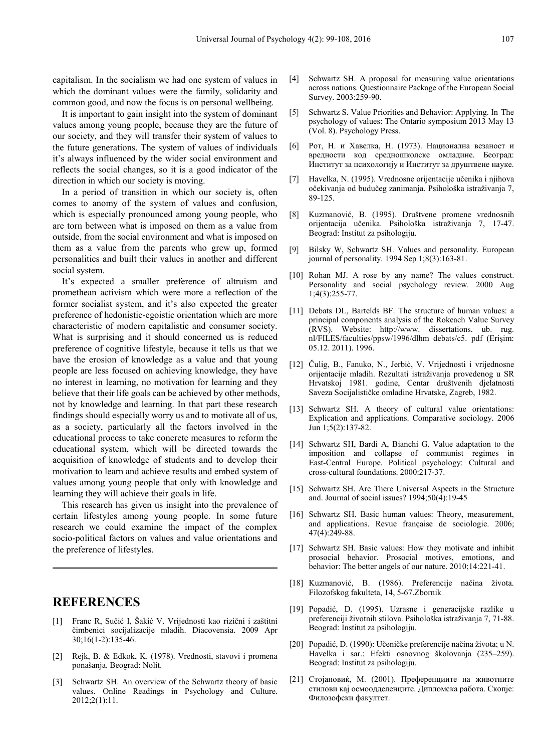capitalism. In the socialism we had one system of values in which the dominant values were the family, solidarity and common good, and now the focus is on personal wellbeing.

It is important to gain insight into the system of dominant values among young people, because they are the future of our society, and they will transfer their system of values to the future generations. The system of values of individuals it's always influenced by the wider social environment and reflects the social changes, so it is a good indicator of the direction in which our society is moving.

In a period of transition in which our society is, often comes to anomy of the system of values and confusion, which is especially pronounced among young people, who are torn between what is imposed on them as a value from outside, from the social environment and what is imposed on them as a value from the parents who grew up, formed personalities and built their values in another and different social system.

It's expected a smaller preference of altruism and promethean activism which were more a reflection of the former socialist system, and it's also expected the greater preference of hedonistic-egoistic orientation which are more characteristic of modern capitalistic and consumer society. What is surprising and it should concerned us is reduced preference of cognitive lifestyle, because it tells us that we have the erosion of knowledge as a value and that young people are less focused on achieving knowledge, they have no interest in learning, no motivation for learning and they believe that their life goals can be achieved by other methods, not by knowledge and learning. In that part these research findings should especially worry us and to motivate all of us, as a society, particularly all the factors involved in the educational process to take concrete measures to reform the educational system, which will be directed towards the acquisition of knowledge of students and to develop their motivation to learn and achieve results and embed system of values among young people that only with knowledge and learning they will achieve their goals in life.

This research has given us insight into the prevalence of certain lifestyles among young people. In some future research we could examine the impact of the complex socio-political factors on values and value orientations and the preference of lifestyles.

## **REFERENCES**

- [1] Franc R, Sučić I, Šakić V. Vrijednosti kao rizični i zaštitni čimbenici socijalizacije mladih. Diacovensia. 2009 Apr 30;16(1-2):135-46.
- [2] Rejk, B. & Edkok, K. (1978). Vrednosti, stavovi i promena ponašanja. Beograd: Nolit.
- [3] Schwartz SH. An overview of the Schwartz theory of basic values. Online Readings in Psychology and Culture. 2012;2(1):11.
- [4] Schwartz SH. A proposal for measuring value orientations across nations. Questionnaire Package of the European Social Survey. 2003:259-90.
- [5] Schwartz S. Value Priorities and Behavior: Applying. In The psychology of values: The Ontario symposium 2013 May 13 (Vol. 8). Psychology Press.
- [6] Рот, Н. и Хавелка, Н. (1973). Национална везаност и вредности код средношколске омладине. Београд: Институт за психологију и Институт за друштвене науке.
- [7] Havelka, N. (1995). Vrednosne orijentacije učenika i njihova očekivanja od budučeg zanimanja. Psihološka istraživanja 7, 89-125.
- [8] Kuzmanović, B. (1995). Društvene promene vrednosnih orijentacija učenika. Psihološka istraživanja 7, 17-47. Beograd: Institut za psihologiju.
- [9] Bilsky W, Schwartz SH. Values and personality. European journal of personality. 1994 Sep 1;8(3):163-81.
- [10] Rohan MJ. A rose by any name? The values construct. Personality and social psychology review. 2000 Aug 1;4(3):255-77.
- [11] Debats DL, Bartelds BF. The structure of human values: a principal components analysis of the Rokeach Value Survey (RVS). Website: http://www. dissertations. ub. rug. nl/FILES/faculties/ppsw/1996/dlhm debats/c5. pdf (Erişim: 05.12. 2011). 1996.
- [12] Čulig, B., Fanuko, N., Jerbiċ, V. Vrijednosti i vrijednosne orijentacije mladih. Rezultati istraživanja provedenog u SR Hrvatskoj 1981. godine, Centar društvenih djelatnosti Saveza Socijalističke omladine Hrvatske, Zagreb, 1982.
- [13] Schwartz SH. A theory of cultural value orientations: Explication and applications. Comparative sociology. 2006 Jun 1;5(2):137-82.
- [14] Schwartz SH, Bardi A, Bianchi G. Value adaptation to the imposition and collapse of communist regimes in East-Central Europe. Political psychology: Cultural and cross-cultural foundations. 2000:217-37.
- [15] Schwartz SH. Are There Universal Aspects in the Structure and. Journal of social issues? 1994;50(4):19-45
- [16] Schwartz SH. Basic human values: Theory, measurement, and applications. Revue française de sociologie. 2006; 47(4):249-88.
- [17] Schwartz SH. Basic values: How they motivate and inhibit prosocial behavior. Prosocial motives, emotions, and behavior: The better angels of our nature. 2010;14:221-41.
- [18] Kuzmanović, B. (1986). Preferencije načina života. Filozofskog fakulteta, 14, 5-67.Zbornik
- [19] Popadić, D. (1995). Uzrasne i generacijske razlike u preferenciji životnih stilova. Psihološka istraživanja 7, 71-88. Beograd: Institut za psihologiju.
- [20] Popadić, D. (1990): Učeničke preferencije načina života; u N. Havelka i sar.: Efekti osnovnog školovanja (235–259). Beograd: Institut za psihologiju.
- [21] Стојановиќ, М. (2001). Преференциите на животните стилови кај осмоодделенците. Дипломска работа. Скопје: Филозофски факултет.